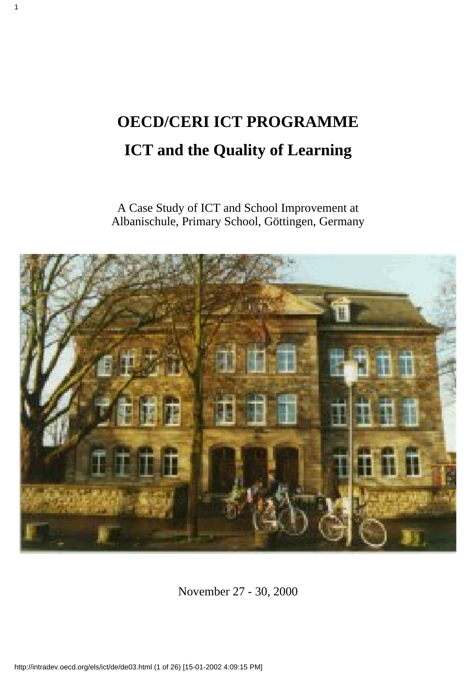# **OECD/CERI ICT PROGRAMME ICT and the Quality of Learning**

1

A Case Study of ICT and School Improvement at Albanischule, Primary School, Göttingen, Germany



November 27 - 30, 2000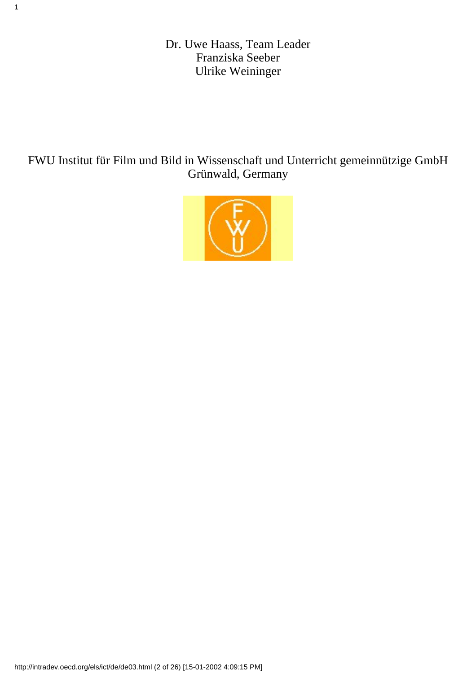Dr. Uwe Haass, Team Leader Franziska Seeber Ulrike Weininger

1

FWU Institut für Film und Bild in Wissenschaft und Unterricht gemeinnützige GmbH Grünwald, Germany

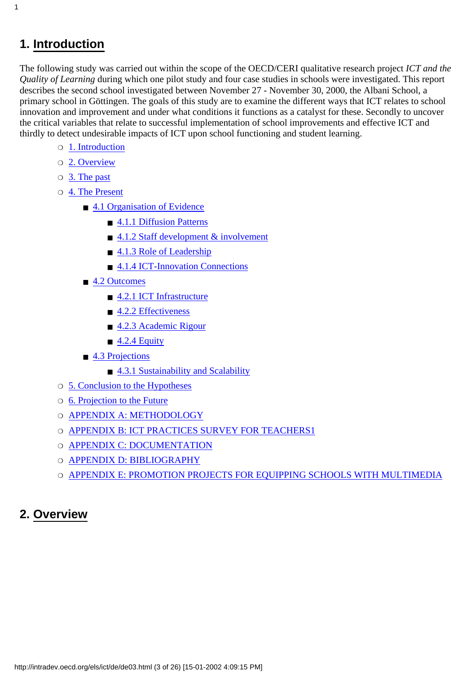### <span id="page-2-0"></span>**1. Introduction**

1

The following study was carried out within the scope of the OECD/CERI qualitative research project *ICT and the Quality of Learning* during which one pilot study and four case studies in schools were investigated. This report describes the second school investigated between November 27 - November 30, 2000, the Albani School, a primary school in Göttingen. The goals of this study are to examine the different ways that ICT relates to school innovation and improvement and under what conditions it functions as a catalyst for these. Secondly to uncover the critical variables that relate to successful implementation of school improvements and effective ICT and thirdly to detect undesirable impacts of ICT upon school functioning and student learning.

- ❍ [1. Introduction](#page-2-0)
- ❍ [2. Overview](#page-2-1)
- ❍ [3. The past](#page-4-0)
- $\circ$  [4. The Present](#page-6-0)
	- [4.1 Organisation of Evidence](#page-6-1)
		- [4.1.1 Diffusion Patterns](#page-6-2)
		- [4.1.2 Staff development & involvement](#page-8-0)
		- [4.1.3 Role of Leadership](#page-9-0)
		- [4.1.4 ICT-Innovation Connections](#page-10-0)
	- [4.2 Outcomes](#page-11-0)
		- [4.2.1 ICT Infrastructure](#page-11-1)
		- [4.2.2 Effectiveness](#page-12-0)
		- [4.2.3 Academic Rigour](#page-16-0)
		- $\blacksquare$  [4.2.4 Equity](#page-16-1)
	- [4.3 Projections](#page-18-0)
		- [4.3.1 Sustainability and Scalability](#page-18-1)
- ❍ [5. Conclusion to the Hypotheses](#page-19-0)
- ❍ [6. Projection to the Future](#page-20-0)
- ❍ [APPENDIX A: METHODOLOGY](#page-21-0)
- O [APPENDIX B: ICT PRACTICES SURVEY FOR TEACHERS1](#page-22-0)
- ❍ [APPENDIX C: DOCUMENTATION](#page-24-0)
- O [APPENDIX D: BIBLIOGRAPHY](#page-24-1)
- ❍ [APPENDIX E: PROMOTION PROJECTS FOR EQUIPPING SCHOOLS WITH MULTIMEDIA](#page-25-0)

### <span id="page-2-1"></span>**2. Overview**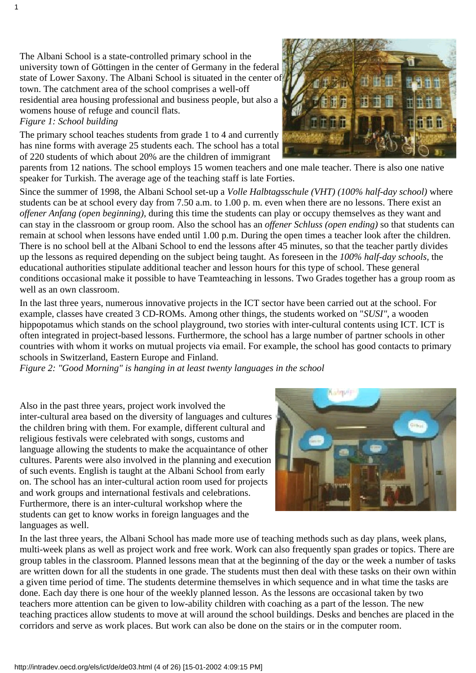The Albani School is a state-controlled primary school in the university town of Göttingen in the center of Germany in the federal state of Lower Saxony. The Albani School is situated in the center of town. The catchment area of the school comprises a well-off residential area housing professional and business people, but also a women s house of refuge and council flats.

*Figure 1: School building*

The primary school teaches students from grade 1 to 4 and currently has nine forms with average 25 students each. The school has a total of 220 students of which about 20% are the children of immigrant

parents from 12 nations. The school employs 15 women teachers and one male teacher. There is also one native speaker for Turkish. The average age of the teaching staff is late Forties.

Since the summer of 1998, the Albani School set-up a *Volle Halbtagsschule (VHT) (100% half-day school)* where students can be at school every day from 7.50 a.m. to 1.00 p. m. even when there are no lessons. There exist an *offener Anfang (open beginning)*, during this time the students can play or occupy themselves as they want and can stay in the classroom or group room. Also the school has an *offener Schluss (open ending)* so that students can remain at school when lessons have ended until 1.00 p.m. During the open times a teacher look after the children. There is no school bell at the Albani School to end the lessons after 45 minutes, so that the teacher partly divides up the lessons as required depending on the subject being taught. As foreseen in the *100% half-day schools,* the educational authorities stipulate additional teacher and lesson hours for this type of school. These general conditions occasional make it possible to have Teamteaching in lessons. Two Grades together has a group room as well as an own classroom.

In the last three years, numerous innovative projects in the ICT sector have been carried out at the school. For example, classes have created 3 CD-ROMs. Among other things, the students worked on "*SUSI"*, a wooden hippopotamus which stands on the school playground, two stories with inter-cultural contents using ICT. ICT is often integrated in project-based lessons. Furthermore, the school has a large number of partner schools in other countries with whom it works on mutual projects via email. For example, the school has good contacts to primary schools in Switzerland, Eastern Europe and Finland.

*Figure 2: "Good Morning" is hanging in at least twenty languages in the school*

Also in the past three years, project work involved the inter-cultural area based on the diversity of languages and cultures the children bring with them. For example, different cultural and religious festivals were celebrated with songs, customs and language allowing the students to make the acquaintance of other cultures. Parents were also involved in the planning and execution of such events. English is taught at the Albani School from early on. The school has an inter-cultural action room used for projects and work groups and international festivals and celebrations. Furthermore, there is an inter-cultural workshop where the students can get to know works in foreign languages and the languages as well.



In the last three years, the Albani School has made more use of teaching methods such as day plans, week plans, multi-week plans as well as project work and free work. Work can also frequently span grades or topics. There are group tables in the classroom. Planned lessons mean that at the beginning of the day or the week a number of tasks are written down for all the students in one grade. The students must then deal with these tasks on their own within a given time period of time. The students determine themselves in which sequence and in what time the tasks are done. Each day there is one hour of the weekly planned lesson. As the lessons are occasional taken by two teachers more attention can be given to low-ability children with coaching as a part of the lesson. The new teaching practices allow students to move at will around the school buildings. Desks and benches are placed in the corridors and serve as work places. But work can also be done on the stairs or in the computer room.

http://intradev.oecd.org/els/ict/de/de03.html (4 of 26) [15-01-2002 4:09:15 PM]

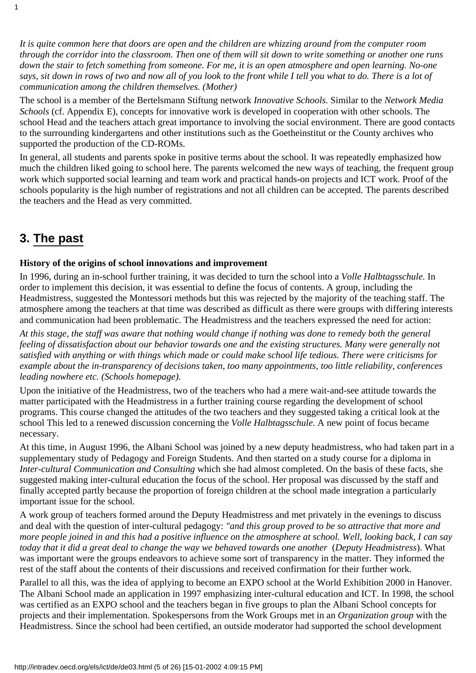*It is quite common here that doors are open and the children are whizzing around from the computer room through the corridor into the classroom. Then one of them will sit down to write something or another one runs down the stair to fetch something from someone. For me, it is an open atmosphere and open learning. No-one says, sit down in rows of two and now all of you look to the front while I tell you what to do. There is a lot of communication among the children themselves. (Mother)*

The school is a member of the Bertelsmann Stiftung network *Innovative Schools.* Similar to the *Network Media Schools* (cf. Appendix E), concepts for innovative work is developed in cooperation with other schools. The school Head and the teachers attach great importance to involving the social environment. There are good contacts to the surrounding kindergartens and other institutions such as the Goetheinstitut or the County archives who supported the production of the CD-ROMs.

In general, all students and parents spoke in positive terms about the school. It was repeatedly emphasized how much the children liked going to school here. The parents welcomed the new ways of teaching, the frequent group work which supported social learning and team work and practical hands-on projects and ICT work. Proof of the school s popularity is the high number of registrations and not all children can be accepted. The parents described the teachers and the Head as very committed.

### <span id="page-4-0"></span>**3. The past**

1

#### **History of the origins of school innovations and improvement**

In 1996, during an in-school further training, it was decided to turn the school into a *Volle Halbtagsschule.* In order to implement this decision, it was essential to define the focus of contents. A group, including the Headmistress, suggested the Montessori methods but this was rejected by the majority of the teaching staff. The atmosphere among the teachers at that time was described as difficult as there were groups with differing interests and communication had been problematic. The Headmistress and the teachers expressed the need for action:

*At this stage, the staff was aware that nothing would change if nothing was done to remedy both the general feeling of dissatisfaction about our behavior towards one and the existing structures. Many were generally not satisfied with anything or with things which made or could make school life tedious. There were criticisms for example about the in-transparency of decisions taken, too many appointments, too little reliability, conferences leading nowhere etc. (School s homepage).* 

Upon the initiative of the Headmistress, two of the teachers who had a mere wait-and-see attitude towards the matter participated with the Headmistress in a further training course regarding the development of school programs. This course changed the attitudes of the two teachers and they suggested taking a critical look at the school This led to a renewed discussion concerning the *Volle Halbtagsschule*. A new point of focus became necessary.

At this time, in August 1996, the Albani School was joined by a new deputy headmistress, who had taken part in a supplementary study of Pedagogy and Foreign Students. And then started on a study course for a diploma in *Inter-cultural Communication and Consulting* which she had almost completed. On the basis of these facts, she suggested making inter-cultural education the focus of the school. Her proposal was discussed by the staff and finally accepted partly because the proportion of foreign children at the school made integration a particularly important issue for the school.

A work group of teachers formed around the Deputy Headmistress and met privately in the evenings to discuss and deal with the question of inter-cultural pedagogy: *"and this group proved to be so attractive that more and more people joined in and this had a positive influence on the atmosphere at school. Well, looking back, I can say today that it did a great deal to change the way we behaved towards one another* (*Deputy Headmistress*). What was important were the group s endeavors to achieve some sort of transparency in the matter. They informed the rest of the staff about the contents of their discussions and received confirmation for their further work.

Parallel to all this, was the idea of applying to become an EXPO school at the World Exhibition 2000 in Hanover. The Albani School made an application in 1997 emphasizing inter-cultural education and ICT. In 1998, the school was certified as an EXPO school and the teachers began in five groups to plan the Albani School concepts for projects and their implementation. Spokespersons from the Work Groups met in an *Organization group* with the Headmistress. Since the school had been certified, an outside moderator had supported the school development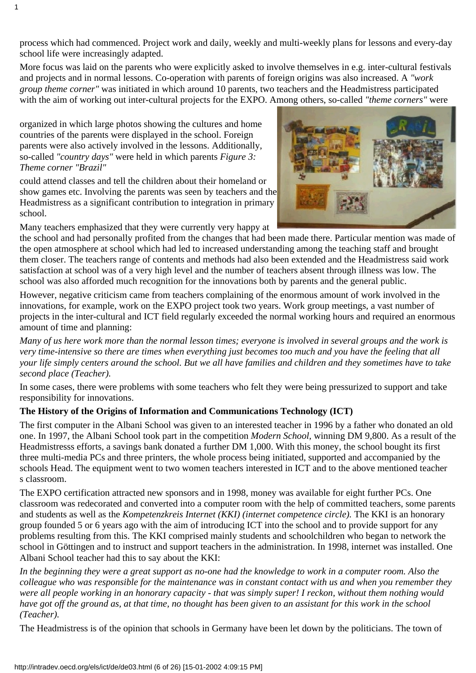process which had commenced. Project work and daily, weekly and multi-weekly plans for lessons and every-day school life were increasingly adapted.

More focus was laid on the parents who were explicitly asked to involve themselves in e.g. inter-cultural festivals and projects and in normal lessons. Co-operation with parents of foreign origins was also increased. A *"work group theme corner"* was initiated in which around 10 parents, two teachers and the Headmistress participated with the aim of working out inter-cultural projects for the EXPO. Among others, so-called *"theme corners"* were

organized in which large photos showing the cultures and home countries of the parents were displayed in the school. Foreign parents were also actively involved in the lessons. Additionally, so-called *"country days"* were held in which parents *Figure 3: Theme corner "Brazil"*

could attend classes and tell the children about their homeland or show games etc. Involving the parents was seen by teachers and the Headmistress as a significant contribution to integration in primary school.

Many teachers emphasized that they were currently very happy at



However, negative criticism came from teachers complaining of the enormous amount of work involved in the innovations, for example, work on the EXPO project took two years. Work group meetings, a vast number of projects in the inter-cultural and ICT field regularly exceeded the normal working hours and required an enormous amount of time and planning:

*Many of us here work more than the normal lesson times; everyone is involved in several groups and the work is very time-intensive so there are times when everything just becomes too much and you have the feeling that all your life simply centers around the school. But we all have families and children and they sometimes have to take second place (Teacher).*

In some cases, there were problems with some teachers who felt they were being pressurized to support and take responsibility for innovations.

#### **The History of the Origins of Information and Communications Technology (ICT)**

The first computer in the Albani School was given to an interested teacher in 1996 by a father who donated an old one. In 1997, the Albani School took part in the competition *Modern School,* winning DM 9,800. As a result of the Headmistresss efforts, a savings bank donated a further DM 1,000. With this money, the school bought its first three multi-media PCs and three printers, the whole process being initiated, supported and accompanied by the schools Head. The equipment went to two women teachers interested in ICT and to the above mentioned teacher s classroom.

The EXPO certification attracted new sponsors and in 1998, money was available for eight further PCs. One classroom was redecorated and converted into a computer room with the help of committed teachers, some parents and students as well as the *Kompetenzkreis Internet (KKI) (internet competence circle).* The KKI is an honorary group founded 5 or 6 years ago with the aim of introducing ICT into the school and to provide support for any problems resulting from this. The KKI comprised mainly students and schoolchildren who began to network the school in Göttingen and to instruct and support teachers in the administration. In 1998, internet was installed. One Albani School teacher had this to say about the KKI:

*In the beginning they were a great support as no-one had the knowledge to work in a computer room. Also the colleague who was responsible for the maintenance was in constant contact with us and when you remember they were all people working in an honorary capacity - that was simply super! I reckon, without them nothing would have got off the ground as, at that time, no thought has been given to an assistant for this work in the school (Teacher).*

The Headmistress is of the opinion that schools in Germany have been let down by the politicians. The town of



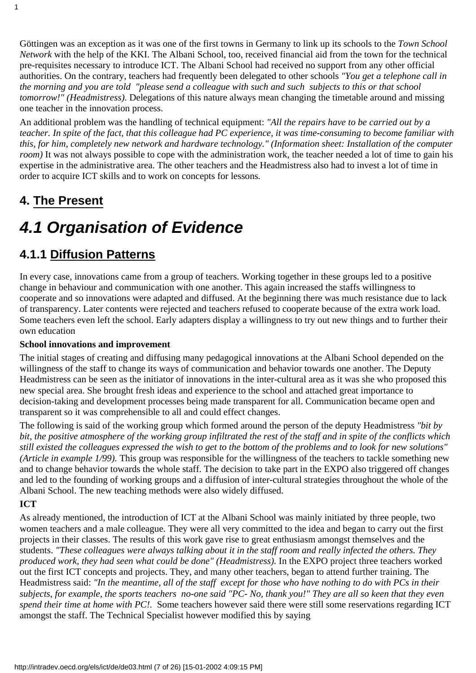Göttingen was an exception as it was one of the first towns in Germany to link up its schools to the *Town School Network* with the help of the KKI. The Albani School, too, received financial aid from the town for the technical pre-requisites necessary to introduce ICT. The Albani School had received no support from any other official authorities. On the contrary, teachers had frequently been delegated to other schools *"You get a telephone call in the morning and you are told "please send a colleague with such and such subjects to this or that school tomorrow!" (Headmistress).* Delegations of this nature always mean changing the timetable around and missing one teacher in the innovation process.

An additional problem was the handling of technical equipment: *"All the repairs have to be carried out by a teacher. In spite of the fact, that this colleague had PC experience, it was time-consuming to become familiar with this, for him, completely new network and hardware technology." (Information sheet: Installation of the computer room*) It was not always possible to cope with the administration work, the teacher needed a lot of time to gain his expertise in the administrative area. The other teachers and the Headmistress also had to invest a lot of time in order to acquire ICT skills and to work on concepts for lessons*.*

### <span id="page-6-0"></span>**4. The Present**

1

# <span id="page-6-1"></span>*4.1 Organisation of Evidence*

### <span id="page-6-2"></span>**4.1.1 Diffusion Patterns**

In every case, innovations came from a group of teachers. Working together in these groups led to a positive change in behaviour and communication with one another. This again increased the staff s willingness to cooperate and so innovations were adapted and diffused. At the beginning there was much resistance due to lack of transparency. Later contents were rejected and teachers refused to cooperate because of the extra work load. Some teachers even left the school. Early adapters display a willingness to try out new things and to further their own education

#### **School innovations and improvement**

The initial stages of creating and diffusing many pedagogical innovations at the Albani School depended on the willingness of the staff to change its ways of communication and behavior towards one another. The Deputy Headmistress can be seen as the initiator of innovations in the inter-cultural area as it was she who proposed this new special area. She brought fresh ideas and experience to the school and attached great importance to decision-taking and development processes being made transparent for all. Communication became open and transparent so it was comprehensible to all and could effect changes.

The following is said of the working group which formed around the person of the deputy Headmistress *"bit by bit, the positive atmosphere of the working group infiltrated the rest of the staff and in spite of the conflicts which still existed the colleagues expressed the wish to get to the bottom of the problems and to look for new solutions" (Article in example 1/99).* This group was responsible for the willingness of the teachers to tackle something new and to change behavior towards the whole staff. The decision to take part in the EXPO also triggered off changes and led to the founding of working groups and a diffusion of inter-cultural strategies throughout the whole of the Albani School. The new teaching methods were also widely diffused.

#### **ICT**

As already mentioned, the introduction of ICT at the Albani School was mainly initiated by three people, two women teachers and a male colleague. They were all very committed to the idea and began to carry out the first projects in their classes. The results of this work gave rise to great enthusiasm amongst themselves and the students. *"These colleagues were always talking about it in the staff room and really infected the others. They produced work, they had seen what could be done" (Headmistress).* In the EXPO project three teachers worked out the first ICT concepts and projects. They, and many other teachers, began to attend further training. The Headmistress said: *"In the meantime, all of the staff except for those who have nothing to do with PCs in their subjects, for example, the sports teachers no-one said "PC- No, thank you!" They are all so keen that they even spend their time at home with PC!.* Some teachers however said there were still some reservations regarding ICT amongst the staff. The Technical Specialist however modified this by saying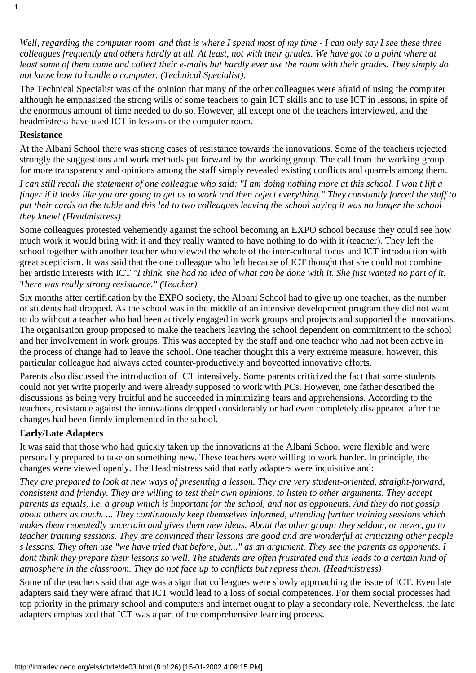*Well, regarding the computer room and that is where I spend most of my time - I can only say I see these three colleagues frequently and others hardly at all. At least, not with their grades. We have got to a point where at least some of them come and collect their e-mails but hardly ever use the room with their grades. They simply do not know how to handle a computer. (Technical Specialist).*

The Technical Specialist was of the opinion that many of the other colleagues were afraid of using the computer although he emphasized the strong wills of some teachers to gain ICT skills and to use ICT in lessons, in spite of the enormous amount of time needed to do so. However, all except one of the teachers interviewed, and the headmistress have used ICT in lessons or the computer room.

#### **Resistance**

1

At the Albani School there was strong cases of resistance towards the innovations. Some of the teachers rejected strongly the suggestions and work methods put forward by the working group. The call from the working group for more transparency and opinions among the staff simply revealed existing conflicts and quarrels among them.

*I can still recall the statement of one colleague who said: "I am doing nothing more at this school. I won t lift a finger if it looks like you are going to get us to work and then reject everything." They constantly forced the staff to put their cards on the table and this led to two colleagues leaving the school saying it was no longer the school they knew! (Headmistress).*

Some colleagues protested vehemently against the school becoming an EXPO school because they could see how much work it would bring with it and they really wanted to have nothing to do with it (teacher). They left the school together with another teacher who viewed the whole of the inter-cultural focus and ICT introduction with great scepticism. It was said that the one colleague who left because of ICT thought that she could not combine her artistic interests with ICT *"I think, she had no idea of what can be done with it. She just wanted no part of it. There was really strong resistance." (Teacher)*

Six months after certification by the EXPO society, the Albani School had to give up one teacher, as the number of students had dropped. As the school was in the middle of an intensive development program they did not want to do without a teacher who had been actively engaged in work groups and projects and supported the innovations. The organisation group proposed to make the teacher s leaving the school dependent on commitment to the school and her involvement in work groups. This was accepted by the staff and one teacher who had not been active in the process of change had to leave the school. One teacher thought this a very extreme measure, however, this particular colleague had always acted counter-productively and boycotted innovative efforts.

Parents also discussed the introduction of ICT intensively. Some parents criticized the fact that some students could not yet write properly and were already supposed to work with PCs. However, one father described the discussions as being very fruitful and he succeeded in minimizing fears and apprehensions. According to the teachers, resistance against the innovations dropped considerably or had even completely disappeared after the changes had been firmly implemented in the school.

#### **Early/Late Adapters**

It was said that those who had quickly taken up the innovations at the Albani School were flexible and were personally prepared to take on something new. These teachers were willing to work harder. In principle, the changes were viewed openly. The Headmistress said that early adapters were inquisitive and:

*They are prepared to look at new ways of presenting a lesson. They are very student-oriented, straight-forward, consistent and friendly. They are willing to test their own opinions, to listen to other arguments. They accept parents as equals, i.e. a group which is important for the school, and not as opponents. And they do not gossip about others as much. ... They continuously keep themselves informed, attending further training sessions which makes them repeatedly uncertain and gives them new ideas. About the other group: they seldom, or never, go to teacher training sessions. They are convinced their lessons are good and are wonderful at criticizing other people s lessons. They often use "we have tried that before, but..." as an argument. They see the parents as opponents. I dont think they prepare their lessons so well. The students are often frustrated and this leads to a certain kind of atmosphere in the classroom. They do not face up to conflicts but repress them. (Headmistress)*

Some of the teachers said that age was a sign that colleagues were slowly approaching the issue of ICT. Even late adapters said they were afraid that ICT would lead to a loss of social competences. For them social processes had top priority in the primary school and computers and internet ought to play a secondary role. Nevertheless, the late adapters emphasized that ICT was a part of the comprehensive learning process.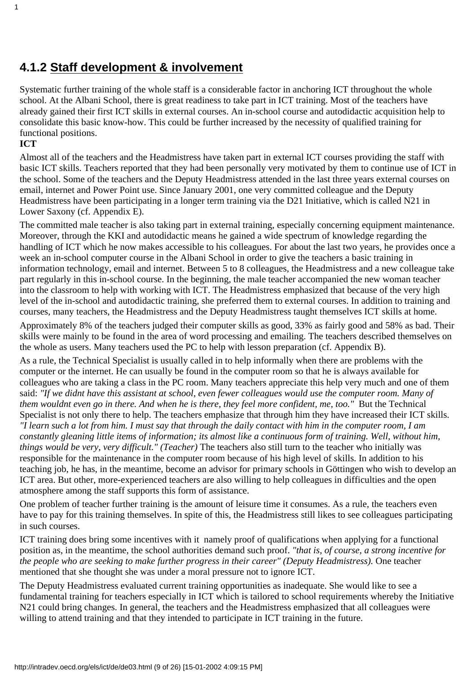### <span id="page-8-0"></span>**4.1.2 Staff development & involvement**

Systematic further training of the whole staff is a considerable factor in anchoring ICT throughout the whole school. At the Albani School, there is great readiness to take part in ICT training. Most of the teachers have already gained their first ICT skills in external courses. An in-school course and autodidactic acquisition help to consolidate this basic know-how. This could be further increased by the necessity of qualified training for functional positions.

#### **ICT**

1

Almost all of the teachers and the Headmistress have taken part in external ICT courses providing the staff with basic ICT skills. Teachers reported that they had been personally very motivated by them to continue use of ICT in the school. Some of the teachers and the Deputy Headmistress attended in the last three years external courses on email, internet and Power Point use. Since January 2001, one very committed colleague and the Deputy Headmistress have been participating in a longer term training via the D21 Initiative, which is called N21 in Lower Saxony (cf. Appendix E).

The committed male teacher is also taking part in external training, especially concerning equipment maintenance. Moreover, through the KKI and autodidactic means he gained a wide spectrum of knowledge regarding the handling of ICT which he now makes accessible to his colleagues. For about the last two years, he provides once a week an in-school computer course in the Albani School in order to give the teachers a basic training in information technology, email and internet. Between 5 to 8 colleagues, the Headmistress and a new colleague take part regularly in this in-school course. In the beginning, the male teacher accompanied the new woman teacher into the classroom to help with working with ICT. The Headmistress emphasized that because of the very high level of the in-school and autodidactic training, she preferred them to external courses. In addition to training and courses, many teachers, the Headmistress and the Deputy Headmistress taught themselves ICT skills at home.

Approximately 8% of the teachers judged their computer skills as good, 33% as fairly good and 58% as bad. Their skills were mainly to be found in the area of word processing and emailing. The teachers described themselves on the whole as users. Many teachers used the PC to help with lesson preparation (cf. Appendix B).

As a rule, the Technical Specialist is usually called in to help informally when there are problems with the computer or the internet. He can usually be found in the computer room so that he is always available for colleagues who are taking a class in the PC room. Many teachers appreciate this help very much and one of them said: *"If we didnt have this assistant at school, even fewer colleagues would use the computer room. Many of them wouldnt even go in there. And when he is there, they feel more confident, me, too."* But the Technical Specialist is not only there to help. The teachers emphasize that through him they have increased their ICT skills. *"I learn such a lot from him. I must say that through the daily contact with him in the computer room, I am constantly gleaning little items of information; its almost like a continuous form of training. Well, without him, things would be very, very difficult." (Teacher)* The teachers also still turn to the teacher who initially was responsible for the maintenance in the computer room because of his high level of skills. In addition to his teaching job, he has, in the meantime, become an advisor for primary schools in Göttingen who wish to develop an ICT area. But other, more-experienced teachers are also willing to help colleagues in difficulties and the open atmosphere among the staff supports this form of assistance.

One problem of teacher further training is the amount of leisure time it consumes. As a rule, the teachers even have to pay for this training themselves. In spite of this, the Headmistress still likes to see colleagues participating in such courses.

ICT training does bring some incentives with it namely proof of qualifications when applying for a functional position as, in the meantime, the school authorities demand such proof. *"that is, of course, a strong incentive for the people who are seeking to make further progress in their career" (Deputy Headmistress).* One teacher mentioned that she thought she was under a moral pressure not to ignore ICT.

The Deputy Headmistress evaluated current training opportunities as inadequate. She would like to see a fundamental training for teachers especially in ICT which is tailored to school requirements whereby the Initiative N<sub>21</sub> could bring changes. In general, the teachers and the Headmistress emphasized that all colleagues were willing to attend training and that they intended to participate in ICT training in the future.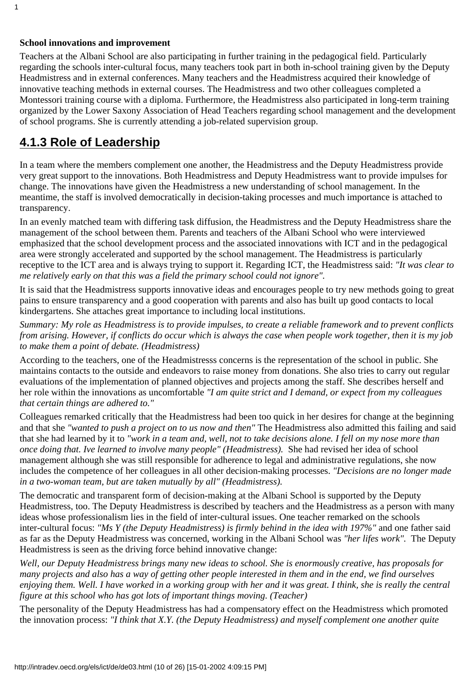#### **School innovations and improvement**

1

Teachers at the Albani School are also participating in further training in the pedagogical field. Particularly regarding the school s inter-cultural focus, many teachers took part in both in-school training given by the Deputy Headmistress and in external conferences. Many teachers and the Headmistress acquired their knowledge of innovative teaching methods in external courses. The Headmistress and two other colleagues completed a Montessori training course with a diploma. Furthermore, the Headmistress also participated in long-term training organized by the Lower Saxony Association of Head Teachers regarding school management and the development of school programs. She is currently attending a job-related supervision group.

### <span id="page-9-0"></span>**4.1.3 Role of Leadership**

In a team where the members complement one another, the Headmistress and the Deputy Headmistress provide very great support to the innovations. Both Headmistress and Deputy Headmistress want to provide impulses for change. The innovations have given the Headmistress a new understanding of school management. In the meantime, the staff is involved democratically in decision-taking processes and much importance is attached to transparency.

In an evenly matched team with differing task diffusion, the Headmistress and the Deputy Headmistress share the management of the school between them. Parents and teachers of the Albani School who were interviewed emphasized that the school development process and the associated innovations with ICT and in the pedagogical area were strongly accelerated and supported by the school management. The Headmistress is particularly receptive to the ICT area and is always trying to support it. Regarding ICT, the Headmistress said: *"It was clear to me relatively early on that this was a field the primary school could not ignore".*

It is said that the Headmistress supports innovative ideas and encourages people to try new methods going to great pains to ensure transparency and a good cooperation with parents and also has built up good contacts to local kindergartens. She attaches great importance to including local institutions.

*Summary: My role as Headmistress is to provide impulses, to create a reliable framework and to prevent conflicts from arising. However, if conflicts do occur which is always the case when people work together, then it is my job to make them a point of debate. (Headmistress)*

According to the teachers, one of the Headmistress s concerns is the representation of the school in public. She maintains contacts to the outside and endeavors to raise money from donations. She also tries to carry out regular evaluations of the implementation of planned objectives and projects among the staff. She describes herself and her role within the innovations as uncomfortable *"I am quite strict and I demand, or expect from my colleagues that certain things are adhered to."*

Colleagues remarked critically that the Headmistress had been too quick in her desires for change at the beginning and that she *"wanted to push a project on to us now and then"* The Headmistress also admitted this failing and said that she had learned by it to *"work in a team and, well, not to take decisions alone. I fell on my nose more than once doing that. Ive learned to involve many people" (Headmistress).* She had revised her idea of school management although she was still responsible for adherence to legal and administrative regulations, she now includes the competence of her colleagues in all other decision-making processes. *"Decisions are no longer made in a two-woman team, but are taken mutually by all" (Headmistress).*

The democratic and transparent form of decision-making at the Albani School is supported by the Deputy Headmistress, too. The Deputy Headmistress is described by teachers and the Headmistress as a person with many ideas whose professionalism lies in the field of inter-cultural issues. One teacher remarked on the school s inter-cultural focus: *"Ms Y (the Deputy Headmistress) is firmly behind in the idea with 197%"* and one father said as far as the Deputy Headmistress was concerned, working in the Albani School was *"her lifes work".* The Deputy Headmistress is seen as the driving force behind innovative change:

*Well, our Deputy Headmistress brings many new ideas to school. She is enormously creative, has proposals for many projects and also has a way of getting other people interested in them and in the end, we find ourselves enjoying them. Well. I have worked in a working group with her and it was great. I think, she is really the central figure at this school who has got lots of important things moving. (Teacher)*

The personality of the Deputy Headmistress has had a compensatory effect on the Headmistress which promoted the innovation process: *"I think that X.Y. (the Deputy Headmistress) and myself complement one another quite*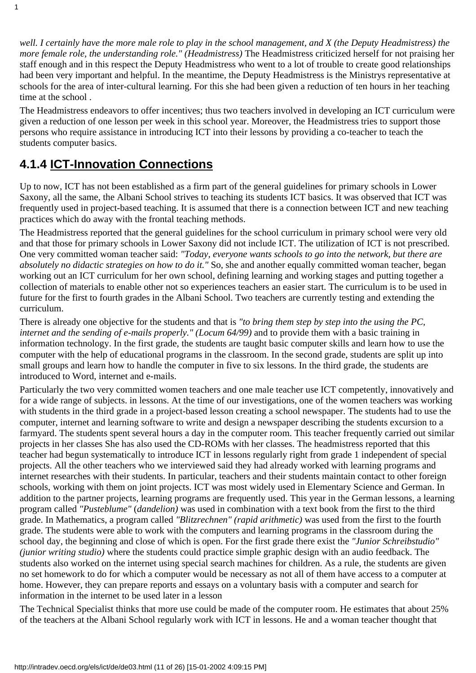*well. I certainly have the more male role to play in the school management, and X (the Deputy Headmistress) the more female role, the understanding role." (Headmistress)* The Headmistress criticized herself for not praising her staff enough and in this respect the Deputy Headmistress who went to a lot of trouble to create good relationships had been very important and helpful. In the meantime, the Deputy Headmistress is the Ministrys representative at schools for the area of inter-cultural learning. For this she had been given a reduction of ten hours in her teaching time at the school .

The Headmistress endeavors to offer incentives; thus two teachers involved in developing an ICT curriculum were given a reduction of one lesson per week in this school year. Moreover, the Headmistress tries to support those persons who require assistance in introducing ICT into their lessons by providing a co-teacher to teach the students computer basics.

### <span id="page-10-0"></span>**4.1.4 ICT-Innovation Connections**

1

Up to now, ICT has not been established as a firm part of the general guidelines for primary schools in Lower Saxony, all the same, the Albani School strives to teaching its students ICT basics. It was observed that ICT was frequently used in project-based teaching. It is assumed that there is a connection between ICT and new teaching practices which do away with the frontal teaching methods.

The Headmistress reported that the general guidelines for the school curriculum in primary school were very old and that those for primary schools in Lower Saxony did not include ICT. The utilization of ICT is not prescribed. One very committed woman teacher said: *"Today, everyone wants schools to go into the network, but there are absolutely no didactic strategies on how to do it."* So, she and another equally committed woman teacher, began working out an ICT curriculum for her own school, defining learning and working stages and putting together a collection of materials to enable other not so experiences teachers an easier start. The curriculum is to be used in future for the first to fourth grades in the Albani School. Two teachers are currently testing and extending the curriculum.

There is already one objective for the students and that is *"to bring them step by step into the using the PC, internet and the sending of e-mails properly." (Locum 64/99)* and to provide them with a basic training in information technology. In the first grade, the students are taught basic computer skills and learn how to use the computer with the help of educational programs in the classroom. In the second grade, students are split up into small groups and learn how to handle the computer in five to six lessons. In the third grade, the students are introduced to Word, internet and e-mails.

Particularly the two very committed women teachers and one male teacher use ICT competently, innovatively and for a wide range of subjects. in lessons. At the time of our investigations, one of the women teachers was working with students in the third grade in a project-based lesson creating a school newspaper. The students had to use the computer, internet and learning software to write and design a newspaper describing the students excursion to a farmyard. The students spent several hours a day in the computer room. This teacher frequently carried out similar projects in her classes She has also used the CD-ROMs with her classes. The headmistress reported that this teacher had begun systematically to introduce ICT in lessons regularly right from grade 1 independent of special projects. All the other teachers who we interviewed said they had already worked with learning programs and internet researches with their students. In particular, teachers and their students maintain contact to other foreign schools, working with them on joint projects. ICT was most widely used in Elementary Science and German. In addition to the partner projects, learning programs are frequently used. This year in the German lessons, a learning program called *"Pusteblume"* (*dandelion)* was used in combination with a text book from the first to the third grade. In Mathematics, a program called *"Blitzrechnen" (rapid arithmetic)* was used from the first to the fourth grade. The students were able to work with the computers and learning programs in the classroom during the school day, the beginning and close of which is open. For the first grade there exist the *"Junior Schreibstudio" (junior writing studio)* where the students could practice simple graphic design with an audio feedback. The students also worked on the internet using special search machines for children. As a rule, the students are given no set homework to do for which a computer would be necessary as not all of them have access to a computer at home. However, they can prepare reports and essays on a voluntary basis with a computer and search for information in the internet to be used later in a lesson

The Technical Specialist thinks that more use could be made of the computer room. He estimates that about 25% of the teachers at the Albani School regularly work with ICT in lessons. He and a woman teacher thought that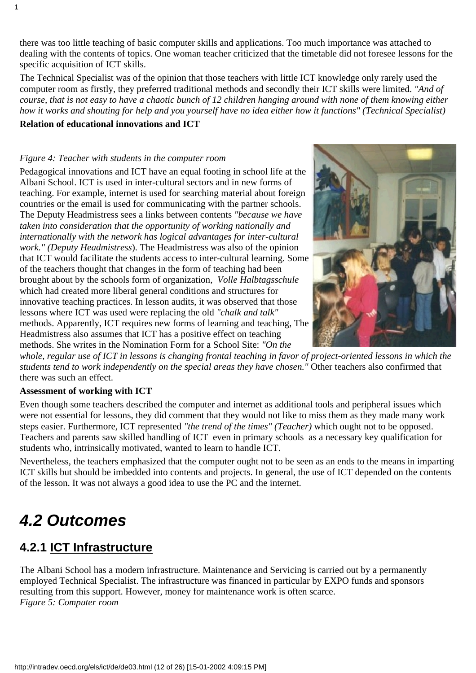there was too little teaching of basic computer skills and applications. Too much importance was attached to dealing with the contents of topics. One woman teacher criticized that the timetable did not foresee lessons for the specific acquisition of ICT skills.

The Technical Specialist was of the opinion that those teachers with little ICT knowledge only rarely used the computer room as firstly, they preferred traditional methods and secondly their ICT skills were limited. *"And of course, that is not easy to have a chaotic bunch of 12 children hanging around with none of them knowing either how it works and shouting for help and you yourself have no idea either how it functions" (Technical Specialist)*

#### **Relation of educational innovations and ICT**

1

#### *Figure 4: Teacher with students in the computer room*

Pedagogical innovations and ICT have an equal footing in school life at the Albani School. ICT is used in inter-cultural sectors and in new forms of teaching. For example, internet is used for searching material about foreign countries or the email is used for communicating with the partner schools. The Deputy Headmistress sees a links between contents *"because we have taken into consideration that the opportunity of working nationally and internationally with the network has logical advantages for inter-cultural work." (Deputy Headmistress*). The Headmistress was also of the opinion that ICT would facilitate the students access to inter-cultural learning. Some of the teachers thought that changes in the form of teaching had been brought about by the school s form of organization, *Volle Halbtagsschule* which had created more liberal general conditions and structures for innovative teaching practices. In lesson audits, it was observed that those lessons where ICT was used were replacing the old *"chalk and talk"* methods. Apparently, ICT requires new forms of learning and teaching, The Headmistress also assumes that ICT has a positive effect on teaching methods. She writes in the Nomination Form for a School Site: *"On the*



*whole, regular use of ICT in lessons is changing frontal teaching in favor of project-oriented lessons in which the students tend to work independently on the special areas they have chosen."* Other teachers also confirmed that there was such an effect.

#### **Assessment of working with ICT**

Even though some teachers described the computer and internet as additional tools and peripheral issues which were not essential for lessons, they did comment that they would not like to miss them as they made many work steps easier. Furthermore, ICT represented *"the trend of the times" (Teacher)* which ought not to be opposed. Teachers and parents saw skilled handling of ICT even in primary schools as a necessary key qualification for students who, intrinsically motivated, wanted to learn to handle ICT.

Nevertheless, the teachers emphasized that the computer ought not to be seen as an ends to the means in imparting ICT skills but should be imbedded into contents and projects. In general, the use of ICT depended on the contents of the lesson. It was not always a good idea to use the PC and the internet.

## <span id="page-11-0"></span>*4.2 Outcomes*

### <span id="page-11-1"></span>**4.2.1 ICT Infrastructure**

The Albani School has a modern infrastructure. Maintenance and Servicing is carried out by a permanently employed Technical Specialist. The infrastructure was financed in particular by EXPO funds and sponsors resulting from this support. However, money for maintenance work is often scarce. *Figure 5: Computer room*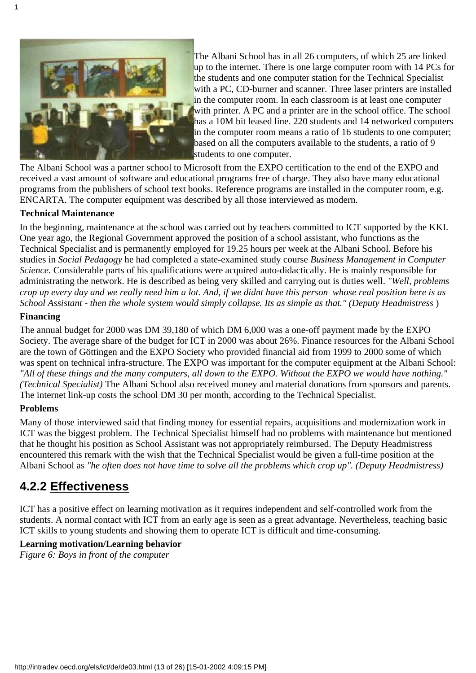

The Albani School has in all 26 computers, of which 25 are linked up to the internet. There is one large computer room with 14 PCs for the students and one computer station for the Technical Specialist with a PC, CD-burner and scanner. Three laser printers are installed in the computer room. In each classroom is at least one computer with printer. A PC and a printer are in the school office. The school has a 10M bit leased line. 220 students and 14 networked computers in the computer room means a ratio of 16 students to one computer; based on all the computers available to the students, a ratio of 9 students to one computer.

The Albani School was a partner school to Microsoft from the EXPO certification to the end of the EXPO and received a vast amount of software and educational programs free of charge. They also have many educational programs from the publishers of school text books. Reference programs are installed in the computer room, e.g. ENCARTA. The computer equipment was described by all those interviewed as modern.

#### **Technical Maintenance**

In the beginning, maintenance at the school was carried out by teachers committed to ICT supported by the KKI. One year ago, the Regional Government approved the position of a school assistant, who functions as the Technical Specialist and is permanently employed for 19.25 hours per week at the Albani School. Before his studies in *Social Pedagogy* he had completed a state-examined study course *Business Management in Computer Science.* Considerable parts of his qualifications were acquired auto-didactically. He is mainly responsible for administrating the network. He is described as being very skilled and carrying out is duties well. *"Well, problems crop up every day and we really need him a lot. And, if we didnt have this person whose real position here is as School Assistant - then the whole system would simply collapse. Its as simple as that." (Deputy Headmistress*)

#### **Financing**

The annual budget for 2000 was DM 39,180 of which DM 6,000 was a one-off payment made by the EXPO Society. The average share of the budget for ICT in 2000 was about 26%. Finance resources for the Albani School are the town of Göttingen and the EXPO Society who provided financial aid from 1999 to 2000 some of which was spent on technical infra-structure. The EXPO was important for the computer equipment at the Albani School: *"All of these things and the many computers, all down to the EXPO. Without the EXPO we would have nothing." (Technical Specialist)* The Albani School also received money and material donations from sponsors and parents. The internet link-up costs the school DM 30 per month, according to the Technical Specialist.

#### **Problems**

Many of those interviewed said that finding money for essential repairs, acquisitions and modernization work in ICT was the biggest problem. The Technical Specialist himself had no problems with maintenance but mentioned that he thought his position as School Assistant was not appropriately reimbursed. The Deputy Headmistress encountered this remark with the wish that the Technical Specialist would be given a full-time position at the Albani School as *"he often does not have time to solve all the problems which crop up". (Deputy Headmistress)*

### <span id="page-12-0"></span>**4.2.2 Effectiveness**

ICT has a positive effect on learning motivation as it requires independent and self-controlled work from the students. A normal contact with ICT from an early age is seen as a great advantage. Nevertheless, teaching basic ICT skills to young students and showing them to operate ICT is difficult and time-consuming.

#### **Learning motivation/Learning behavior**

*Figure 6: Boys in front of the computer*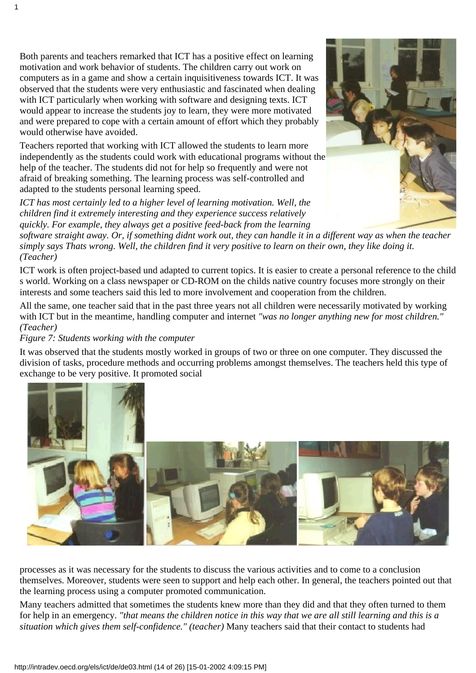Both parents and teachers remarked that ICT has a positive effect on learning motivation and work behavior of students. The children carry out work on computers as in a game and show a certain inquisitiveness towards ICT. It was observed that the students were very enthusiastic and fascinated when dealing with ICT particularly when working with software and designing texts. ICT would appear to increase the students joy to learn, they were more motivated and were prepared to cope with a certain amount of effort which they probably would otherwise have avoided.

Teachers reported that working with ICT allowed the students to learn more independently as the students could work with educational programs without the help of the teacher. The students did not for help so frequently and were not afraid of breaking something. The learning process was self-controlled and adapted to the student s personal learning speed.

*ICT has most certainly led to a higher level of learning motivation. Well, the children find it extremely interesting and they experience success relatively quickly. For example, they always get a positive feed-back from the learning*

*software straight away. Or, if something didnt work out, they can handle it in a different way as when the teacher simply says Thats wrong. Well, the children find it very positive to learn on their own, they like doing it. (Teacher)*

ICT work is often project-based und adapted to current topics. It is easier to create a personal reference to the child s world. Working on a class newspaper or CD-ROM on the child s native country focuses more strongly on their interests and some teachers said this led to more involvement and cooperation from the children.

All the same, one teacher said that in the past three years not all children were necessarily motivated by working with ICT but in the meantime, handling computer and internet *"was no longer anything new for most children." (Teacher)*

#### *Figure 7: Students working with the computer*

1

It was observed that the students mostly worked in groups of two or three on one computer. They discussed the division of tasks, procedure methods and occurring problems amongst themselves. The teachers held this type of exchange to be very positive. It promoted social



processes as it was necessary for the students to discuss the various activities and to come to a conclusion themselves. Moreover, students were seen to support and help each other. In general, the teachers pointed out that the learning process using a computer promoted communication.

Many teachers admitted that sometimes the students knew more than they did and that they often turned to them for help in an emergency. *"that means the children notice in this way that we are all still learning and this is a situation which gives them self-confidence." (teacher)* Many teachers said that their contact to students had

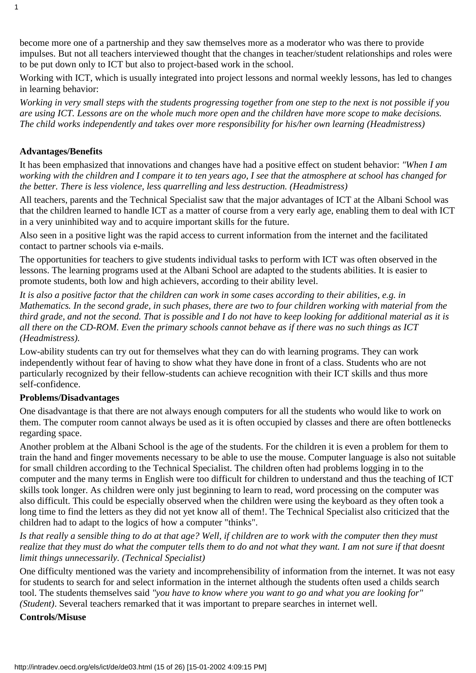become more one of a partnership and they saw themselves more as a moderator who was there to provide impulses. But not all teachers interviewed thought that the changes in teacher/student relationships and roles were to be put down only to ICT but also to project-based work in the school.

Working with ICT, which is usually integrated into project lessons and normal weekly lessons, has led to changes in learning behavior:

*Working in very small steps with the students progressing together from one step to the next is not possible if you are using ICT. Lessons are on the whole much more open and the children have more scope to make decisions. The child works independently and takes over more responsibility for his/her own learning (Headmistress)*

#### **Advantages/Benefits**

It has been emphasized that innovations and changes have had a positive effect on student behavior: *"When I am working with the children and I compare it to ten years ago, I see that the atmosphere at school has changed for the better. There is less violence, less quarrelling and less destruction. (Headmistress)*

All teachers, parents and the Technical Specialist saw that the major advantages of ICT at the Albani School was that the children learned to handle ICT as a matter of course from a very early age, enabling them to deal with ICT in a very uninhibited way and to acquire important skills for the future.

Also seen in a positive light was the rapid access to current information from the internet and the facilitated contact to partner schools via e-mails.

The opportunities for teachers to give students individual tasks to perform with ICT was often observed in the lessons. The learning programs used at the Albani School are adapted to the students abilities. It is easier to promote students, both low and high achievers, according to their ability level.

*It is also a positive factor that the children can work in some cases according to their abilities, e.g. in Mathematics. In the second grade, in such phases, there are two to four children working with material from the third grade, and not the second. That is possible and I do not have to keep looking for additional material as it is all there on the CD-ROM. Even the primary schools cannot behave as if there was no such things as ICT (Headmistress).*

Low-ability students can try out for themselves what they can do with learning programs. They can work independently without fear of having to show what they have done in front of a class. Students who are not particularly recognized by their fellow-students can achieve recognition with their ICT skills and thus more self-confidence.

#### **Problems/Disadvantages**

One disadvantage is that there are not always enough computers for all the students who would like to work on them. The computer room cannot always be used as it is often occupied by classes and there are often bottlenecks regarding space.

Another problem at the Albani School is the age of the students. For the children it is even a problem for them to train the hand and finger movements necessary to be able to use the mouse. Computer language is also not suitable for small children according to the Technical Specialist. The children often had problems logging in to the computer and the many terms in English were too difficult for children to understand and thus the teaching of ICT skills took longer. As children were only just beginning to learn to read, word processing on the computer was also difficult. This could be especially observed when the children were using the keyboard as they often took a long time to find the letters as they did not yet know all of them!. The Technical Specialist also criticized that the children had to adapt to the logics of how a computer "thinks".

*Is that really a sensible thing to do at that age? Well, if children are to work with the computer then they must realize that they must do what the computer tells them to do and not what they want. I am not sure if that doesnt limit things unnecessarily. (Technical Specialist)*

One difficulty mentioned was the variety and incomprehensibility of information from the internet. It was not easy for students to search for and select information in the internet although the students often used a child s search tool. The students themselves said *"you have to know where you want to go and what you are looking for" (Student)*. Several teachers remarked that it was important to prepare searches in internet well.

#### **Controls/Misuse**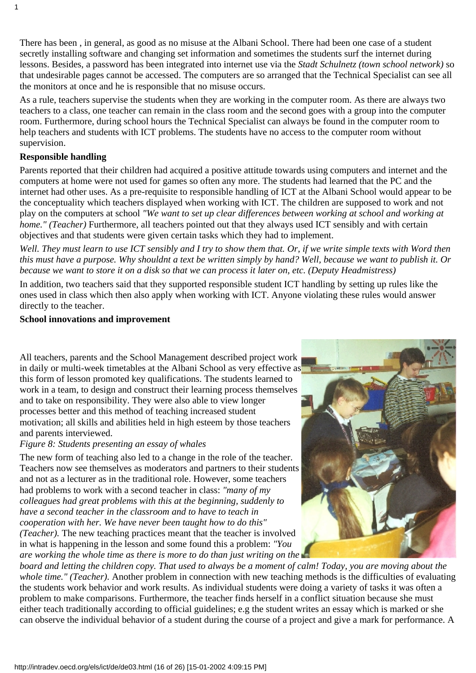There has been , in general, as good as no misuse at the Albani School. There had been one case of a student secretly installing software and changing set information and sometimes the students surf the internet during lessons. Besides, a password has been integrated into internet use via the *Stadt Schulnetz (town school network)* so that undesirable pages cannot be accessed. The computers are so arranged that the Technical Specialist can see all the monitors at once and he is responsible that no misuse occurs.

As a rule, teachers supervise the students when they are working in the computer room. As there are always two teachers to a class, one teacher can remain in the class room and the second goes with a group into the computer room. Furthermore, during school hours the Technical Specialist can always be found in the computer room to help teachers and students with ICT problems. The students have no access to the computer room without supervision.

#### **Responsible handling**

1

Parents reported that their children had acquired a positive attitude towards using computers and internet and the computers at home were not used for games so often any more. The students had learned that the PC and the internet had other uses. As a pre-requisite to responsible handling of ICT at the Albani School would appear to be the conceptuality which teachers displayed when working with ICT. The children are supposed to work and not play on the computers at school *"We want to set up clear differences between working at school and working at home." (Teacher)* Furthermore, all teachers pointed out that they always used ICT sensibly and with certain objectives and that students were given certain tasks which they had to implement.

*Well. They must learn to use ICT sensibly and I try to show them that. Or, if we write simple texts with Word then this must have a purpose. Why shouldn t a text be written simply by hand? Well, because we want to publish it. Or because we want to store it on a disk so that we can process it later on, etc. (Deputy Headmistress)*

In addition, two teachers said that they supported responsible student ICT handling by setting up rules like the ones used in class which then also apply when working with ICT. Anyone violating these rules would answer directly to the teacher.

#### **School innovations and improvement**

All teachers, parents and the School Management described project work in daily or multi-week timetables at the Albani School as very effective as this form of lesson promoted key qualifications. The students learned to work in a team, to design and construct their learning process themselves and to take on responsibility. They were also able to view longer processes better and this method of teaching increased student motivation; all skills and abilities held in high esteem by those teachers and parents interviewed.

#### *Figure 8: Students presenting an essay of whales*

The new form of teaching also led to a change in the role of the teacher. Teachers now see themselves as moderators and partners to their students and not as a lecturer as in the traditional role. However, some teachers had problems to work with a second teacher in class: *"many of my colleagues had great problems with this at the beginning, suddenly to have a second teacher in the classroom and to have to teach in cooperation with her. We have never been taught how to do this" (Teacher).* The new teaching practices meant that the teacher is involved in what is happening in the lesson and some found this a problem: *"You*

*are working the whole time as there is more to do than just writing on the*



*board and letting the children copy. That used to always be a moment of calm! Today, you are moving about the whole time." (Teacher).* Another problem in connection with new teaching methods is the difficulties of evaluating the student s work behavior and work results. As individual students were doing a variety of tasks it was often a problem to make comparisons. Furthermore, the teacher finds herself in a conflict situation because she must either teach traditionally according to official guidelines; e.g the student writes an essay which is marked or she can observe the individual behavior of a student during the course of a project and give a mark for performance. A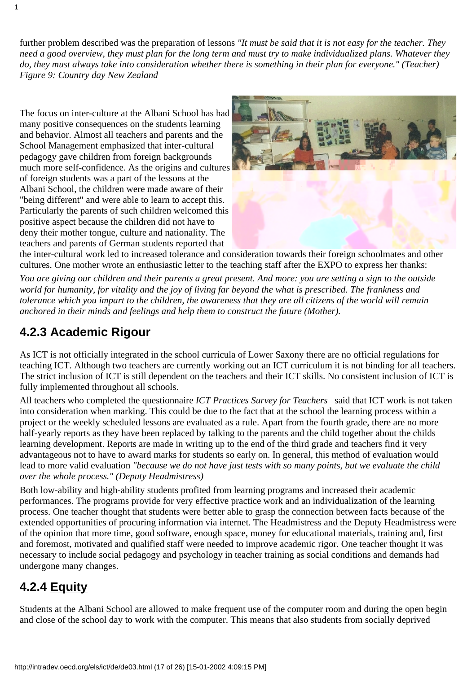further problem described was the preparation of lessons *"It must be said that it is not easy for the teacher. They need a good overview, they must plan for the long term and must try to make individualized plans. Whatever they do, they must always take into consideration whether there is something in their plan for everyone." (Teacher) Figure 9: Country day New Zealand*

The focus on inter-culture at the Albani School has had many positive consequences on the students learning and behavior. Almost all teachers and parents and the School Management emphasized that inter-cultural pedagogy gave children from foreign backgrounds much more self-confidence. As the origins and cultures of foreign students was a part of the lessons at the Albani School, the children were made aware of their "being different" and were able to learn to accept this. Particularly the parents of such children welcomed this positive aspect because the children did not have to deny their mother tongue, culture and nationality. The teachers and parents of German students reported that



the inter-cultural work led to increased tolerance and consideration towards their foreign schoolmates and other cultures. One mother wrote an enthusiastic letter to the teaching staff after the EXPO to express her thanks:

*You are giving our children and their parents a great present. And more: you are setting a sign to the outside world for humanity, for vitality and the joy of living far beyond the what is prescribed. The frankness and tolerance which you impart to the children, the awareness that they are all citizens of the world will remain anchored in their minds and feelings and help them to construct the future (Mother).*

### <span id="page-16-0"></span>**4.2.3 Academic Rigour**

As ICT is not officially integrated in the school curricula of Lower Saxony there are no official regulations for teaching ICT. Although two teachers are currently working out an ICT curriculum it is not binding for all teachers. The strict inclusion of ICT is still dependent on the teachers and their ICT skills. No consistent inclusion of ICT is fully implemented throughout all schools.

All teachers who completed the questionnaire *ICT Practices Survey for Teachers* said that ICT work is not taken into consideration when marking. This could be due to the fact that at the school the learning process within a project or the weekly scheduled lessons are evaluated as a rule. Apart from the fourth grade, there are no more half-yearly reports as they have been replaced by talking to the parents and the child together about the child s learning development. Reports are made in writing up to the end of the third grade and teachers find it very advantageous not to have to award marks for students so early on. In general, this method of evaluation would lead to more valid evaluation *"because we do not have just tests with so many points, but we evaluate the child over the whole process." (Deputy Headmistress)*

Both low-ability and high-ability students profited from learning programs and increased their academic performances. The programs provide for very effective practice work and an individualization of the learning process. One teacher thought that students were better able to grasp the connection between facts because of the extended opportunities of procuring information via internet. The Headmistress and the Deputy Headmistress were of the opinion that more time, good software, enough space, money for educational materials, training and, first and foremost, motivated and qualified staff were needed to improve academic rigor. One teacher thought it was necessary to include social pedagogy and psychology in teacher training as social conditions and demands had undergone many changes.

### <span id="page-16-1"></span>**4.2.4 Equity**

Students at the Albani School are allowed to make frequent use of the computer room and during the open begin and close of the school day to work with the computer. This means that also students from socially deprived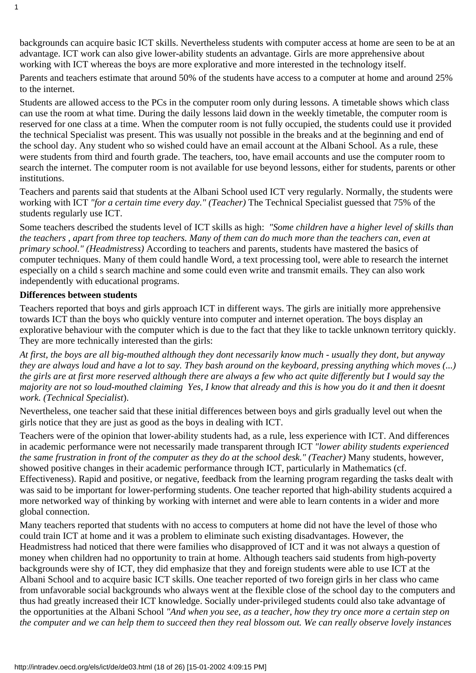backgrounds can acquire basic ICT skills. Nevertheless students with computer access at home are seen to be at an advantage. ICT work can also give lower-ability students an advantage. Girls are more apprehensive about working with ICT whereas the boys are more explorative and more interested in the technology itself.

Parents and teachers estimate that around 50% of the students have access to a computer at home and around 25% to the internet.

Students are allowed access to the PCs in the computer room only during lessons. A timetable shows which class can use the room at what time. During the daily lessons laid down in the weekly timetable, the computer room is reserved for one class at a time. When the computer room is not fully occupied, the students could use it provided the technical Specialist was present. This was usually not possible in the breaks and at the beginning and end of the school day. Any student who so wished could have an email account at the Albani School. As a rule, these were students from third and fourth grade. The teachers, too, have email accounts and use the computer room to search the internet. The computer room is not available for use beyond lessons, either for students, parents or other institutions.

Teachers and parents said that students at the Albani School used ICT very regularly. Normally, the students were working with ICT *"for a certain time every day." (Teacher)* The Technical Specialist guessed that 75% of the students regularly use ICT.

Some teachers described the students level of ICT skills as high: *"Some children have a higher level of skills than the teachers , apart from three top teachers. Many of them can do much more than the teachers can, even at primary school." (Headmistress)* According to teachers and parents, students have mastered the basics of computer techniques. Many of them could handle Word, a text processing tool, were able to research the internet especially on a child s search machine and some could even write and transmit emails. They can also work independently with educational programs.

#### **Differences between students**

Teachers reported that boys and girls approach ICT in different ways. The girls are initially more apprehensive towards ICT than the boys who quickly venture into computer and internet operation. The boys display an explorative behaviour with the computer which is due to the fact that they like to tackle unknown territory quickly. They are more technically interested than the girls:

*At first, the boys are all big-mouthed although they dont necessarily know much - usually they dont, but anyway they are always loud and have a lot to say. They bash around on the keyboard, pressing anything which moves (...) the girls are at first more reserved although there are always a few who act quite differently but I would say the majority are not so loud-mouthed claiming Yes, I know that already and this is how you do it and then it doesnt work. (Technical Specialist*).

Nevertheless, one teacher said that these initial differences between boys and girls gradually level out when the girls notice that they are just as good as the boys in dealing with ICT.

Teachers were of the opinion that lower-ability students had, as a rule, less experience with ICT. And differences in academic performance were not necessarily made transparent through ICT *"lower ability students experienced the same frustration in front of the computer as they do at the school desk." (Teacher)* Many students, however, showed positive changes in their academic performance through ICT, particularly in Mathematics (cf. Effectiveness). Rapid and positive, or negative, feedback from the learning program regarding the tasks dealt with was said to be important for lower-performing students. One teacher reported that high-ability students acquired a more networked way of thinking by working with internet and were able to learn contents in a wider and more global connection.

Many teachers reported that students with no access to computers at home did not have the level of those who could train ICT at home and it was a problem to eliminate such existing disadvantages. However, the Headmistress had noticed that there were families who disapproved of ICT and it was not always a question of money when children had no opportunity to train at home. Although teachers said students from high-poverty backgrounds were shy of ICT, they did emphasize that they and foreign students were able to use ICT at the Albani School and to acquire basic ICT skills. One teacher reported of two foreign girls in her class who came from unfavorable social backgrounds who always went at the flexible close of the school day to the computers and thus had greatly increased their ICT knowledge. Socially under-privileged students could also take advantage of the opportunities at the Albani School *"And when you see, as a teacher, how they try once more a certain step on the computer and we can help them to succeed then they real blossom out. We can really observe lovely instances*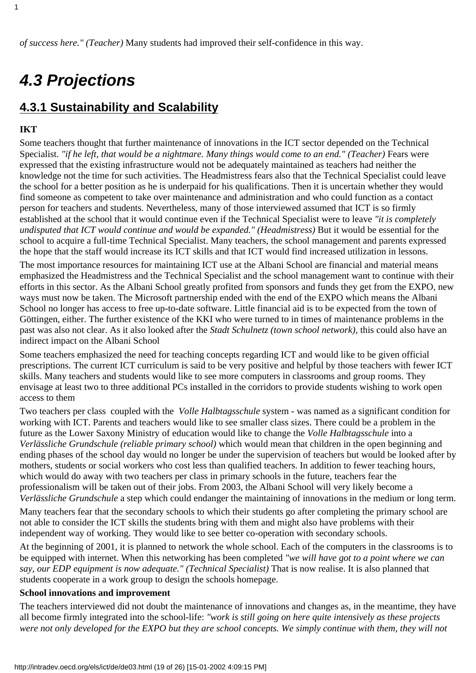## <span id="page-18-0"></span>*4.3 Projections*

### <span id="page-18-1"></span>**4.3.1 Sustainability and Scalability**

#### **IKT**

Some teachers thought that further maintenance of innovations in the ICT sector depended on the Technical Specialist. "*if he left, that would be a nightmare. Many things would come to an end." (Teacher)* Fears were expressed that the existing infrastructure would not be adequately maintained as teachers had neither the knowledge not the time for such activities. The Headmistress fears also that the Technical Specialist could leave the school for a better position as he is underpaid for his qualifications. Then it is uncertain whether they would find someone as competent to take over maintenance and administration and who could function as a contact person for teachers and students. Nevertheless, many of those interviewed assumed that ICT is so firmly established at the school that it would continue even if the Technical Specialist were to leave *"it is completely undisputed that ICT would continue and would be expanded." (Headmistress)* But it would be essential for the school to acquire a full-time Technical Specialist. Many teachers, the school management and parents expressed the hope that the staff would increase its ICT skills and that ICT would find increased utilization in lessons.

The most importance resources for maintaining ICT use at the Albani School are financial and material means emphasized the Headmistress and the Technical Specialist and the school management want to continue with their efforts in this sector. As the Albani School greatly profited from sponsors and funds they get from the EXPO, new ways must now be taken. The Microsoft partnership ended with the end of the EXPO which means the Albani School no longer has access to free up-to-date software. Little financial aid is to be expected from the town of Göttingen, either. The further existence of the KKI who were turned to in times of maintenance problems in the past was also not clear. As it also looked after the *Stadt Schulnetz (town school network)*, this could also have an indirect impact on the Albani School

Some teachers emphasized the need for teaching concepts regarding ICT and would like to be given official prescriptions. The current ICT curriculum is said to be very positive and helpful by those teachers with fewer ICT skills. Many teachers and students would like to see more computers in classrooms and group rooms. They envisage at least two to three additional PCs installed in the corridors to provide students wishing to work open access to them

Two teachers per class coupled with the *Volle Halbtagsschule* system - was named as a significant condition for working with ICT. Parents and teachers would like to see smaller class sizes. There could be a problem in the future as the Lower Saxony Ministry of education would like to change the *Volle Halbtagsschule* into a *Verlässliche Grundschule (reliable primary school)* which would mean that children in the open beginning and ending phases of the school day would no longer be under the supervision of teachers but would be looked after by mothers, students or social workers who cost less than qualified teachers. In addition to fewer teaching hours, which would do away with two teachers per class in primary schools in the future, teachers fear the professionalism will be taken out of their jobs. From 2003, the Albani School will very likely become a *Verlässliche Grundschule* a step which could endanger the maintaining of innovations in the medium or long term.

Many teachers fear that the secondary schools to which their students go after completing the primary school are not able to consider the ICT skills the students bring with them and might also have problems with their independent way of working. They would like to see better co-operation with secondary schools.

At the beginning of 2001, it is planned to network the whole school. Each of the computers in the classrooms is to be equipped with internet. When this networking has been completed *"we will have got to a point where we can say, our EDP equipment is now adequate." (Technical Specialist)* That is now realise. It is also planned that students cooperate in a work group to design the school s homepage.

#### **School innovations and improvement**

The teachers interviewed did not doubt the maintenance of innovations and changes as, in the meantime, they have all become firmly integrated into the school-life: *"work is still going on here quite intensively as these projects were not only developed for the EXPO but they are school concepts. We simply continue with them, they will not*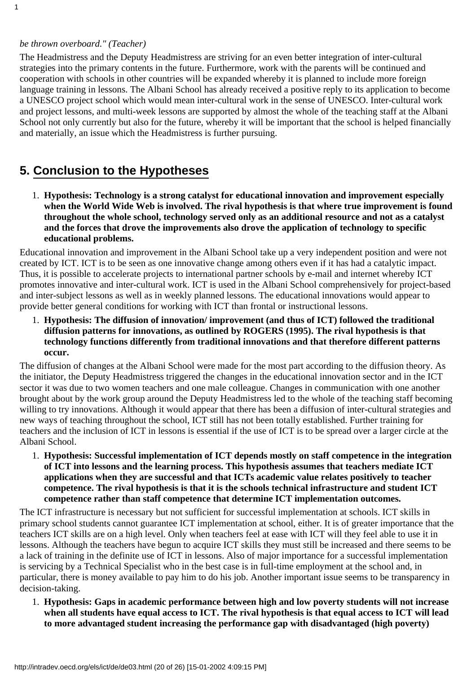1

The Headmistress and the Deputy Headmistress are striving for an even better integration of inter-cultural strategies into the primary contents in the future. Furthermore, work with the parents will be continued and cooperation with schools in other countries will be expanded whereby it is planned to include more foreign language training in lessons. The Albani School has already received a positive reply to its application to become a UNESCO project school which would mean inter-cultural work in the sense of UNESCO. Inter-cultural work and project lessons, and multi-week lessons are supported by almost the whole of the teaching staff at the Albani School not only currently but also for the future, whereby it will be important that the school is helped financially and materially, an issue which the Headmistress is further pursuing.

### <span id="page-19-0"></span>**5. Conclusion to the Hypotheses**

**Hypothesis: Technology is a strong catalyst for educational innovation and improvement especially** 1. **when the World Wide Web is involved. The rival hypothesis is that where true improvement is found throughout the whole school, technology served only as an additional resource and not as a catalyst and the forces that drove the improvements also drove the application of technology to specific educational problems.**

Educational innovation and improvement in the Albani School take up a very independent position and were not created by ICT. ICT is to be seen as one innovative change among others even if it has had a catalytic impact. Thus, it is possible to accelerate projects to international partner schools by e-mail and internet whereby ICT promotes innovative and inter-cultural work. ICT is used in the Albani School comprehensively for project-based and inter-subject lessons as well as in weekly planned lessons. The educational innovations would appear to provide better general conditions for working with ICT than frontal or instructional lessons.

**Hypothesis: The diffusion of innovation/ improvement (and thus of ICT) followed the traditional** 1. **diffusion patterns for innovations, as outlined by ROGERS (1995). The rival hypothesis is that technology functions differently from traditional innovations and that therefore different patterns occur.**

The diffusion of changes at the Albani School were made for the most part according to the diffusion theory. As the initiator, the Deputy Headmistress triggered the changes in the educational innovation sector and in the ICT sector it was due to two women teachers and one male colleague. Changes in communication with one another brought about by the work group around the Deputy Headmistress led to the whole of the teaching staff becoming willing to try innovations. Although it would appear that there has been a diffusion of inter-cultural strategies and new ways of teaching throughout the school, ICT still has not been totally established. Further training for teachers and the inclusion of ICT in lessons is essential if the use of ICT is to be spread over a larger circle at the Albani School.

**Hypothesis: Successful implementation of ICT depends mostly on staff competence in the integration** 1. **of ICT into lessons and the learning process. This hypothesis assumes that teachers mediate ICT** applications when they are successful and that ICT s academic value relates positively to teacher **competence. The rival hypothesis is that it is the schools technical infrastructure and student ICT competence rather than staff competence that determine ICT implementation outcomes.**

The ICT infrastructure is necessary but not sufficient for successful implementation at schools. ICT skills in primary school students cannot guarantee ICT implementation at school, either. It is of greater importance that the teachers ICT skills are on a high level. Only when teachers feel at ease with ICT will they feel able to use it in lessons. Although the teachers have begun to acquire ICT skills they must still be increased and there seems to be a lack of training in the definite use of ICT in lessons. Also of major importance for a successful implementation is servicing by a Technical Specialist who in the best case is in full-time employment at the school and, in particular, there is money available to pay him to do his job. Another important issue seems to be transparency in decision-taking.

**Hypothesis: Gaps in academic performance between high and low poverty students will not increase** 1. **when all students have equal access to ICT. The rival hypothesis is that equal access to ICT will lead to more advantaged student increasing the performance gap with disadvantaged (high poverty)**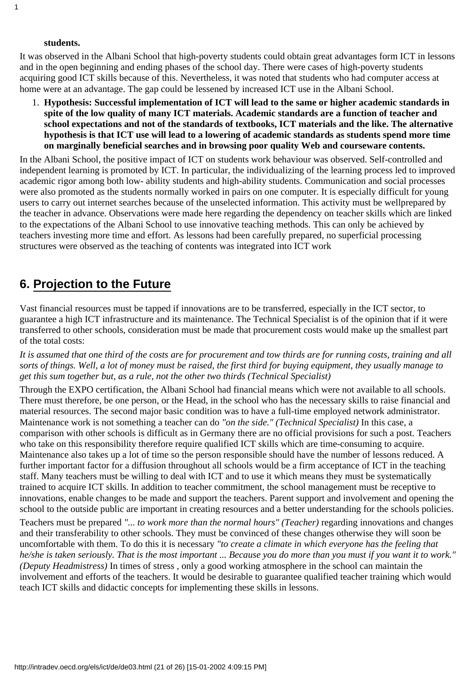#### **students.**

It was observed in the Albani School that high-poverty students could obtain great advantages form ICT in lessons and in the open beginning and ending phases of the school day. There were cases of high-poverty students acquiring good ICT skills because of this. Nevertheless, it was noted that students who had computer access at home were at an advantage. The gap could be lessened by increased ICT use in the Albani School.

**Hypothesis: Successful implementation of ICT will lead to the same or higher academic standards in** 1. **spite of the low quality of many ICT materials. Academic standards are a function of teacher and school expectations and not of the standards of textbooks, ICT materials and the like. The alternative hypothesis is that ICT use will lead to a lowering of academic standards as students spend more time on marginally beneficial searches and in browsing poor quality Web and courseware contents.**

In the Albani School, the positive impact of ICT on students work behaviour was observed. Self-controlled and independent learning is promoted by ICT. In particular, the individualizing of the learning process led to improved academic rigor among both low- ability students and high-ability students. Communication and social processes were also promoted as the students normally worked in pairs on one computer. It is especially difficult for young users to carry out internet searches because of the unselected information. This activity must be well prepared by the teacher in advance. Observations were made here regarding the dependency on teacher skills which are linked to the expectations of the Albani School to use innovative teaching methods. This can only be achieved by teachers investing more time and effort. As lessons had been carefully prepared, no superficial processing structures were observed as the teaching of contents was integrated into ICT work

### <span id="page-20-0"></span>**6. Projection to the Future**

Vast financial resources must be tapped if innovations are to be transferred, especially in the ICT sector, to guarantee a high ICT infrastructure and its maintenance. The Technical Specialist is of the opinion that if it were transferred to other schools, consideration must be made that procurement costs would make up the smallest part of the total costs:

*It is assumed that one third of the costs are for procurement and tow thirds are for running costs, training and all sorts of things. Well, a lot of money must be raised, the first third for buying equipment, they usually manage to get this sum together but, as a rule, not the other two thirds (Technical Specialist)*

Through the EXPO certification, the Albani School had financial means which were not available to all schools. There must therefore, be one person, or the Head, in the school who has the necessary skills to raise financial and material resources. The second major basic condition was to have a full-time employed network administrator. Maintenance work is not something a teacher can do *"on the side." (Technical Specialist)* In this case, a comparison with other schools is difficult as in Germany there are no official provisions for such a post. Teachers who take on this responsibility therefore require qualified ICT skills which are time-consuming to acquire. Maintenance also takes up a lot of time so the person responsible should have the number of lessons reduced. A further important factor for a diffusion throughout all schools would be a firm acceptance of ICT in the teaching staff. Many teachers must be willing to deal with ICT and to use it which means they must be systematically trained to acquire ICT skills. In addition to teacher commitment, the school management must be receptive to innovations, enable changes to be made and support the teachers. Parent support and involvement and opening the school to the outside public are important in creating resources and a better understanding for the school s policies.

Teachers must be prepared *"... to work more than the normal hours" (Teacher)* regarding innovations and changes and their transferability to other schools. They must be convinced of these changes otherwise they will soon be uncomfortable with them. To do this it is necessary *"to create a climate in which everyone has the feeling that he/she is taken seriously. That is the most important ... Because you do more than you must if you want it to work." (Deputy Headmistress)* In times of stress , only a good working atmosphere in the school can maintain the involvement and efforts of the teachers. It would be desirable to guarantee qualified teacher training which would teach ICT skills and didactic concepts for implementing these skills in lessons.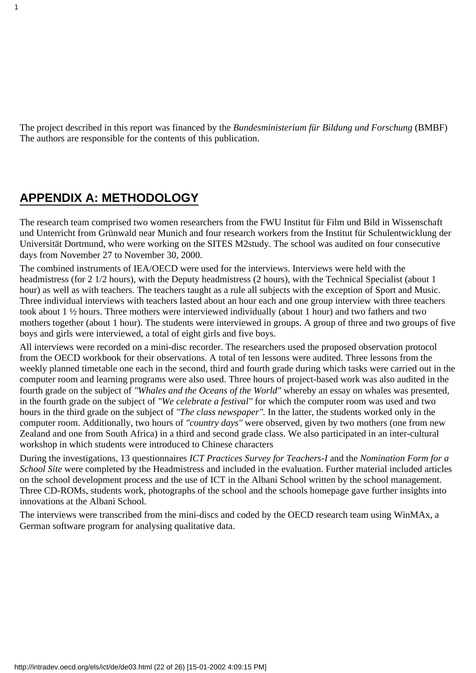The project described in this report was financed by the *Bundesministerium für Bildung und Forschung* (BMBF) The authors are responsible for the contents of this publication.

### <span id="page-21-0"></span>**APPENDIX A: METHODOLOGY**

The research team comprised two women researchers from the FWU Institut für Film und Bild in Wissenschaft und Unterricht from Grünwald near Munich and four research workers from the Institut für Schulentwicklung der Universität Dortmund, who were working on the SITES M2study. The school was audited on four consecutive days from November 27 to November 30, 2000.

The combined instruments of IEA/OECD were used for the interviews. Interviews were held with the headmistress (for 2 1/2 hours), with the Deputy headmistress (2 hours), with the Technical Specialist (about 1 hour) as well as with teachers. The teachers taught as a rule all subjects with the exception of Sport and Music. Three individual interviews with teachers lasted about an hour each and one group interview with three teachers took about 1 ½ hours. Three mothers were interviewed individually (about 1 hour) and two fathers and two mothers together (about 1 hour). The students were interviewed in groups. A group of three and two groups of five boys and girls were interviewed, a total of eight girls and five boys.

All interviews were recorded on a mini-disc recorder. The researchers used the proposed observation protocol from the OECD workbook for their observations. A total of ten lessons were audited. Three lessons from the weekly planned timetable one each in the second, third and fourth grade during which tasks were carried out in the computer room and learning programs were also used. Three hours of project-based work was also audited in the fourth grade on the subject of *"Whales and the Oceans of the World"* whereby an essay on whales was presented, in the fourth grade on the subject of *"We celebrate a festival"* for which the computer room was used and two hours in the third grade on the subject of *"The class newspaper".* In the latter, the students worked only in the computer room. Additionally, two hours of *"country days"* were observed, given by two mothers (one from new Zealand and one from South Africa) in a third and second grade class. We also participated in an inter-cultural workshop in which students were introduced to Chinese characters

During the investigations, 13 questionnaires *ICT Practices Survey for Teachers-I* and the *Nomination Form for a School Site* were completed by the Headmistress and included in the evaluation. Further material included articles on the school development process and the use of ICT in the Albani School written by the school management. Three CD-ROMs, students work, photographs of the school and the school s homepage gave further insights into innovations at the Albani School.

The interviews were transcribed from the mini-discs and coded by the OECD research team using WinMAx, a German software program for analysing qualitative data.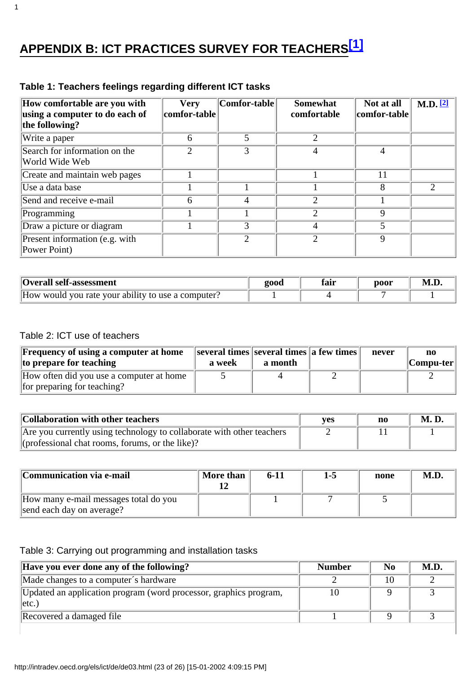# <span id="page-22-0"></span>**APPENDIX B: ICT PRACTICES SURVEY FOR TEACHERS[\[1\]](#page-25-1)**

<span id="page-22-1"></span>

| How comfortable are you with<br>using a computer to do each of<br>the following? | <b>Very</b><br> comfor-table | Comfor-table                | <b>Somewhat</b><br>comfortable | Not at all<br>comfor-table | M.D. 21 |
|----------------------------------------------------------------------------------|------------------------------|-----------------------------|--------------------------------|----------------------------|---------|
| Write a paper                                                                    | 6                            |                             |                                |                            |         |
| Search for information on the<br>World Wide Web                                  |                              | 3                           | 4                              | 4                          |         |
| Create and maintain web pages                                                    |                              |                             |                                | 11                         |         |
| Use a data base                                                                  |                              |                             |                                | 8                          | 2       |
| Send and receive e-mail                                                          | 6                            | 4                           | $\mathcal{D}$                  |                            |         |
| Programming                                                                      |                              |                             | $\mathcal{D}$                  | 9                          |         |
| Draw a picture or diagram                                                        |                              | 3                           | 4                              | 5                          |         |
| Present information (e.g. with<br>Power Point)                                   |                              | $\mathcal{D}_{\mathcal{A}}$ | $\mathcal{D}_{\mathcal{L}}$    | 9                          |         |

### **Table 1: Teachers feelings regarding different ICT tasks**

| Overall self-assessment                            | <b>2000</b> | זו הי | poor | M.L |
|----------------------------------------------------|-------------|-------|------|-----|
| How would you rate your ability to use a computer? |             |       |      |     |

#### Table 2: ICT use of teachers

1

| <b>Frequency of using a computer at home</b><br>to prepare for teaching | a week | several times several times a few times<br>a month | never | no<br> Computer |
|-------------------------------------------------------------------------|--------|----------------------------------------------------|-------|-----------------|
| How often did you use a computer at home<br>for preparing for teaching? |        |                                                    |       |                 |

| Collaboration with other teachers                                     | <b>ves</b> | n0 | <b>M. D.</b> |
|-----------------------------------------------------------------------|------------|----|--------------|
| Are you currently using technology to collaborate with other teachers |            |    |              |
| (professional chat rooms, forums, or the like)?                       |            |    |              |

| Communication via e-mail                                           | More than | $6-11$ | 1-5 | none | M.D |
|--------------------------------------------------------------------|-----------|--------|-----|------|-----|
| How many e-mail messages total do you<br>send each day on average? |           |        |     |      |     |

#### Table 3: Carrying out programming and installation tasks

| Have you ever done any of the following?                                      | <b>Number</b> | No | M.D. |
|-------------------------------------------------------------------------------|---------------|----|------|
| Made changes to a computer's hardware                                         |               |    |      |
| Updated an application program (word processor, graphics program,<br>$ $ etc. |               |    |      |
| Recovered a damaged file                                                      |               |    |      |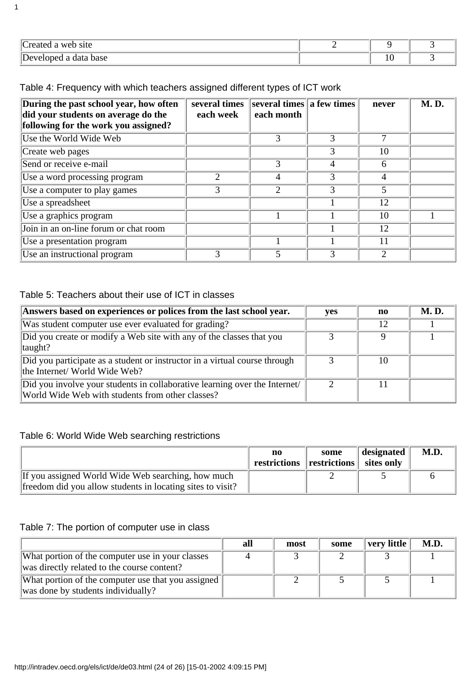| $\sim$<br>$\Delta$ Wer<br>site<br>$r \alpha$ |  |  |
|----------------------------------------------|--|--|
| $ {\rm De}$<br>data base                     |  |  |

Table 4: Frequency with which teachers assigned different types of ICT work

| During the past school year, how often<br>did your students on average do the | several times<br>each week  | several times  a few times <br>each month |   | never | <b>M.D.</b> |
|-------------------------------------------------------------------------------|-----------------------------|-------------------------------------------|---|-------|-------------|
| following for the work you assigned?                                          |                             |                                           |   |       |             |
| Use the World Wide Web                                                        |                             | 3                                         | 3 | 7     |             |
| Create web pages                                                              |                             |                                           | 3 | 10    |             |
| Send or receive e-mail                                                        |                             | 3                                         | 4 | 6     |             |
| Use a word processing program                                                 | $\mathcal{D}_{\mathcal{L}}$ | 4                                         | 3 | 4     |             |
| Use a computer to play games                                                  | 3                           | 2                                         | 3 | 5     |             |
| Use a spreadsheet                                                             |                             |                                           |   | 12    |             |
| Use a graphics program                                                        |                             |                                           |   | 10    |             |
| Join in an on-line forum or chat room                                         |                             |                                           |   | 12    |             |
| Use a presentation program                                                    |                             |                                           |   | 11    |             |
| Use an instructional program                                                  | 3                           |                                           | 3 | 2     |             |

#### Table 5: Teachers about their use of ICT in classes

| Answers based on experiences or polices from the last school year.                                                            | <b>ves</b> | no | <b>M.D.</b> |
|-------------------------------------------------------------------------------------------------------------------------------|------------|----|-------------|
| Was student computer use ever evaluated for grading?                                                                          |            | 12 |             |
| Did you create or modify a Web site with any of the classes that you<br>$\Vert$ taught?                                       |            | Q  |             |
| Did you participate as a student or instructor in a virtual course through<br>the Internet/ World Wide Web?                   |            | 10 |             |
| Did you involve your students in collaborative learning over the Internet<br>World Wide Web with students from other classes? |            | 11 |             |

### Table 6: World Wide Web searching restrictions

| restrictions restrictions is sites only |  |
|-----------------------------------------|--|
|                                         |  |
|                                         |  |

#### Table 7: The portion of computer use in class

|                                                                                                 | all | most | some | very little | M.D. |
|-------------------------------------------------------------------------------------------------|-----|------|------|-------------|------|
| What portion of the computer use in your classes<br>was directly related to the course content? |     |      |      |             |      |
| What portion of the computer use that you assigned<br>was done by students individually?        |     |      |      |             |      |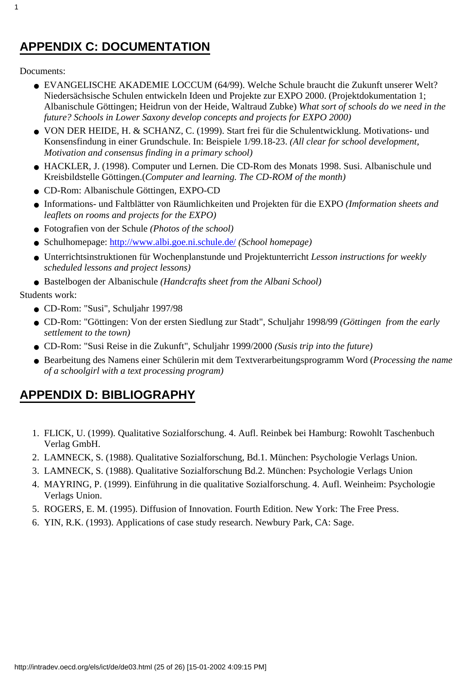### <span id="page-24-0"></span>**APPENDIX C: DOCUMENTATION**

Documents:

1

- EVANGELISCHE AKADEMIE LOCCUM (64/99). Welche Schule braucht die Zukunft unserer Welt? Niedersächsische Schulen entwickeln Ideen und Projekte zur EXPO 2000. (Projektdokumentation 1; Albanischule Göttingen; Heidrun von der Heide, Waltraud Zubke) *What sort of schools do we need in the future? Schools in Lower Saxony develop concepts and projects for EXPO 2000)*
- VON DER HEIDE, H. & SCHANZ, C. (1999). Start frei für die Schulentwicklung. Motivations- und Konsensfindung in einer Grundschule. In: Beispiele 1/99.18-23. *(All clear for school development, Motivation and consensus finding in a primary school)*
- HACKLER, J. (1998). Computer und Lernen. Die CD-Rom des Monats 1998. Susi. Albanischule und Kreisbildstelle Göttingen.(*Computer and learning. The CD-ROM of the month)*
- CD-Rom: Albanischule Göttingen, EXPO-CD
- Informations- und Faltblätter von Räumlichkeiten und Projekten für die EXPO *(Imformation sheets and leaflets on rooms and projects for the EXPO)*
- Fotografien von der Schule *(Photos of the school)*
- Schulhomepage:<http://www.albi.goe.ni.schule.de/> *(School homepage)*
- Unterrichtsinstruktionen für Wochenplanstunde und Projektunterricht *Lesson instructions for weekly scheduled lessons and project lessons)*
- Bastelbogen der Albanischule *(Handcrafts sheet from the Albani School)*

Students work:

- CD-Rom: "Susi", Schuljahr 1997/98
- CD-Rom: "Göttingen: Von der ersten Siedlung zur Stadt", Schuljahr 1998/99 *(Göttingen from the early settlement to the town)*
- CD-Rom: "Susi Reise in die Zukunft", Schuljahr 1999/2000 *(Susis trip into the future)*
- Bearbeitung des Namens einer Schülerin mit dem Textverarbeitungsprogramm Word (*Processing the name of a schoolgirl with a text processing program)*

### <span id="page-24-1"></span>**APPENDIX D: BIBLIOGRAPHY**

- FLICK, U. (1999). Qualitative Sozialforschung. 4. Aufl. Reinbek bei Hamburg: Rowohlt Taschenbuch 1. Verlag GmbH.
- 2. LAMNECK, S. (1988). Qualitative Sozialforschung, Bd.1. München: Psychologie Verlags Union.
- 3. LAMNECK, S. (1988). Qualitative Sozialforschung Bd.2. München: Psychologie Verlags Union
- MAYRING, P. (1999). Einführung in die qualitative Sozialforschung. 4. Aufl. Weinheim: Psychologie 4. Verlags Union.
- 5. ROGERS, E. M. (1995). Diffusion of Innovation. Fourth Edition. New York: The Free Press.
- 6. YIN, R.K. (1993). Applications of case study research. Newbury Park, CA: Sage.